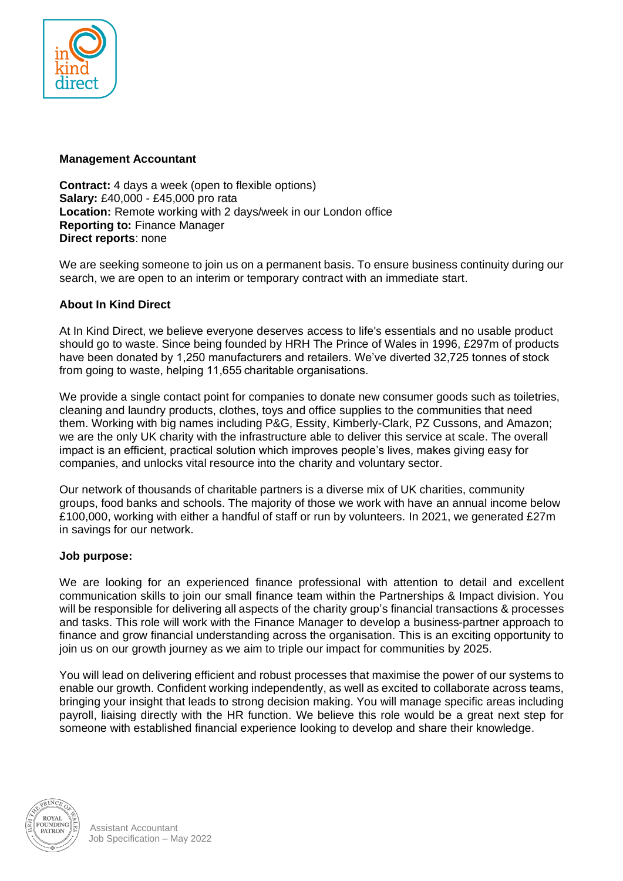

### **Management Accountant**

**Contract:** 4 days a week (open to flexible options) **Salary:** £40,000 - £45,000 pro rata **Location:** Remote working with 2 days/week in our London office **Reporting to:** Finance Manager **Direct reports**: none

We are seeking someone to join us on a permanent basis. To ensure business continuity during our search, we are open to an interim or temporary contract with an immediate start.

### **About In Kind Direct**

At In Kind Direct, we believe everyone deserves access to life's essentials and no usable product should go to waste. Since being founded by HRH The Prince of Wales in 1996, £297m of products have been donated by 1,250 manufacturers and retailers. We've diverted 32,725 tonnes of stock from going to waste, helping 11,655 charitable organisations.

We provide a single contact point for companies to donate new consumer goods such as toiletries, cleaning and laundry products, clothes, toys and office supplies to the communities that need them. Working with big names including P&G, Essity, Kimberly-Clark, PZ Cussons, and Amazon; we are the only UK charity with the infrastructure able to deliver this service at scale. The overall impact is an efficient, practical solution which improves people's lives, makes giving easy for companies, and unlocks vital resource into the charity and voluntary sector.

Our network of thousands of charitable partners is a diverse mix of UK charities, community groups, food banks and schools. The majority of those we work with have an annual income below £100,000, working with either a handful of staff or run by volunteers. In 2021, we generated £27m in savings for our network.

### **Job purpose:**

We are looking for an experienced finance professional with attention to detail and excellent communication skills to join our small finance team within the Partnerships & Impact division. You will be responsible for delivering all aspects of the charity group's financial transactions & processes and tasks. This role will work with the Finance Manager to develop a business-partner approach to finance and grow financial understanding across the organisation. This is an exciting opportunity to join us on our growth journey as we aim to triple our impact for communities by 2025.

You will lead on delivering efficient and robust processes that maximise the power of our systems to enable our growth. Confident working independently, as well as excited to collaborate across teams, bringing your insight that leads to strong decision making. You will manage specific areas including payroll, liaising directly with the HR function. We believe this role would be a great next step for someone with established financial experience looking to develop and share their knowledge.

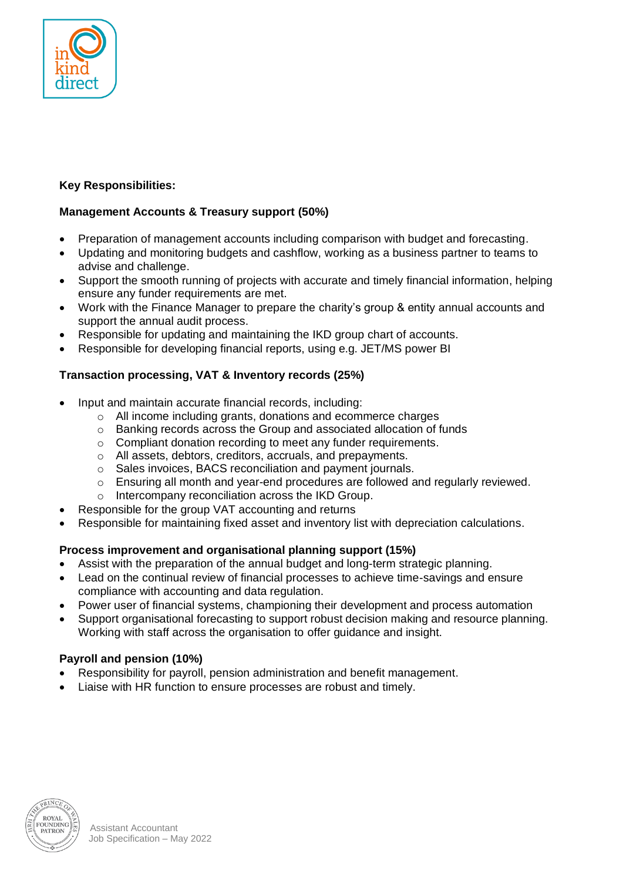

# **Key Responsibilities:**

## **Management Accounts & Treasury support (50%)**

- Preparation of management accounts including comparison with budget and forecasting.
- Updating and monitoring budgets and cashflow, working as a business partner to teams to advise and challenge.
- Support the smooth running of projects with accurate and timely financial information, helping ensure any funder requirements are met.
- Work with the Finance Manager to prepare the charity's group & entity annual accounts and support the annual audit process.
- Responsible for updating and maintaining the IKD group chart of accounts.
- Responsible for developing financial reports, using e.g. JET/MS power BI

### **Transaction processing, VAT & Inventory records (25%)**

- Input and maintain accurate financial records, including:
	- o All income including grants, donations and ecommerce charges
	- o Banking records across the Group and associated allocation of funds
	- o Compliant donation recording to meet any funder requirements.
	- o All assets, debtors, creditors, accruals, and prepayments.
	- o Sales invoices, BACS reconciliation and payment journals.
	- $\circ$  Ensuring all month and year-end procedures are followed and regularly reviewed.
	- o Intercompany reconciliation across the IKD Group.
- Responsible for the group VAT accounting and returns
- Responsible for maintaining fixed asset and inventory list with depreciation calculations.

## **Process improvement and organisational planning support (15%)**

- Assist with the preparation of the annual budget and long-term strategic planning.
- Lead on the continual review of financial processes to achieve time-savings and ensure compliance with accounting and data regulation.
- Power user of financial systems, championing their development and process automation
- Support organisational forecasting to support robust decision making and resource planning. Working with staff across the organisation to offer guidance and insight.

## **Payroll and pension (10%)**

- Responsibility for payroll, pension administration and benefit management.
- Liaise with HR function to ensure processes are robust and timely.